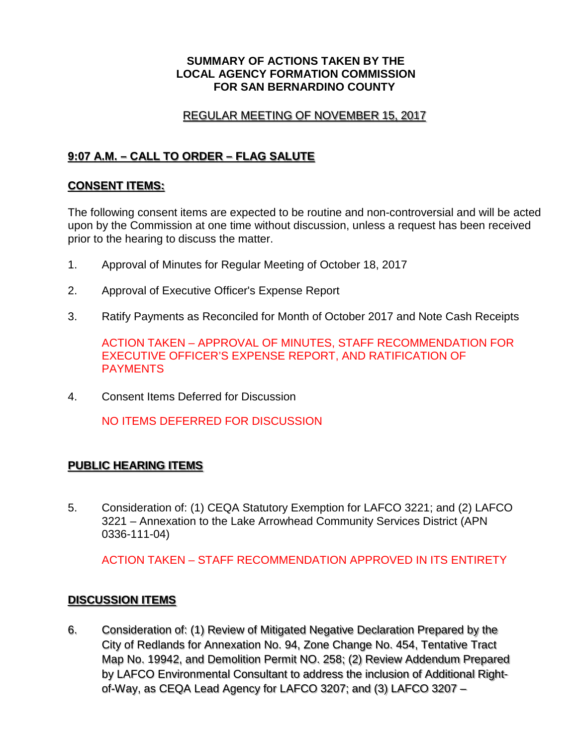#### **SUMMARY OF ACTIONS TAKEN BY THE LOCAL AGENCY FORMATION COMMISSION FOR SAN BERNARDINO COUNTY**

### REGULAR MEETING OF NOVEMBER 15, 2017

# **9:07 A.M. – CALL TO ORDER – FLAG SALUTE**

### **CONSENT ITEMS:**

The following consent items are expected to be routine and non-controversial and will be acted upon by the Commission at one time without discussion, unless a request has been received prior to the hearing to discuss the matter.

- 1. Approval of Minutes for Regular Meeting of October 18, 2017
- 2. Approval of Executive Officer's Expense Report
- 3. Ratify Payments as Reconciled for Month of October 2017 and Note Cash Receipts

ACTION TAKEN – APPROVAL OF MINUTES, STAFF RECOMMENDATION FOR EXECUTIVE OFFICER'S EXPENSE REPORT, AND RATIFICATION OF PAYMENTS

4. Consent Items Deferred for Discussion

NO ITEMS DEFERRED FOR DISCUSSION

## **PUBLIC HEARING ITEMS**

5. Consideration of: (1) CEQA Statutory Exemption for LAFCO 3221; and (2) LAFCO 3221 – Annexation to the Lake Arrowhead Community Services District (APN 0336-111-04)

ACTION TAKEN – STAFF RECOMMENDATION APPROVED IN ITS ENTIRETY

## **DISCUSSION ITEMS**

6. Consideration of: (1) Review of Mitigated Negative Declaration Prepared by the City of Redlands for Annexation No. 94, Zone Change No. 454, Tentative Tract Map No. 19942, and Demolition Permit NO. 258; (2) Review Addendum Prepared by LAFCO Environmental Consultant to address the inclusion of Additional Rightof-Way, as CEQA Lead Agency for LAFCO 3207; and (3) LAFCO 3207 –